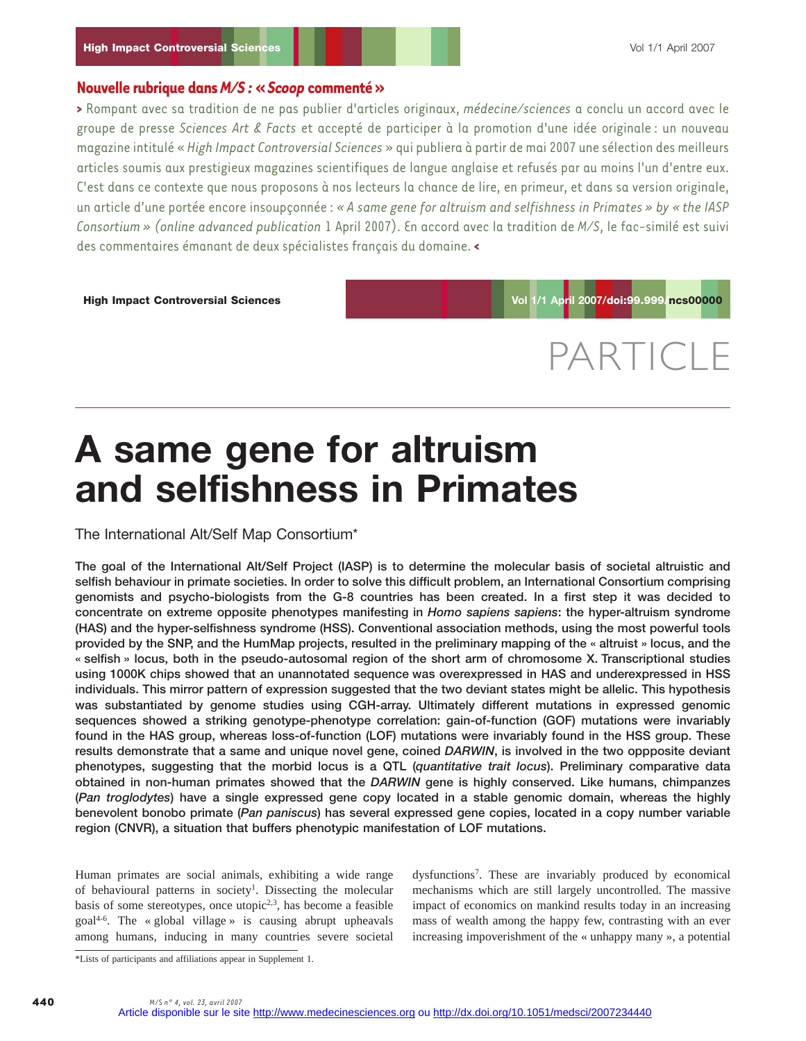# **Nouvelle rubrique dans** *M/S :* **«** *Scoop* **commenté »**

**>** Rompant avec sa tradition de ne pas publier d'articles originaux, *médecine/sciences* a conclu un accord avec le groupe de presse *Sciences Art & Facts* et accepté de participer à la promotion d'une idée originale : un nouveau magazine intitulé « *High Impact Controversial Sciences* » qui publiera à partir de mai 2007 une sélection des meilleurs articles soumis aux prestigieux magazines scientifiques de langue anglaise et refusés par au moins l'un d'entre eux. C'est dans ce contexte que nous proposons à nos lecteurs la chance de lire, en primeur, et dans sa version originale, un article d'une portée encore insoupçonnée : *« A same gene for altruism and selfishness in Primates » by « the IASP Consortium » (online advanced publication* 1 April 2007). En accord avec la tradition de *M/S*, le fac-similé est suivi des commentaires émanant de deux spécialistes français du domaine. **<**

**High Impact Controversial Sciences Vol 1/1 April 2007/doi:99.999/ncs00000**

# PARTIC

# **A same gene for altruism and selfishness in Primates**

The International Alt/Self Map Consortium\*

**The goal of the International Alt/Self Project (IASP) is to determine the molecular basis of societal altruistic and selfish behaviour in primate societies. In order to solve this difficult problem, an International Consortium comprising genomists and psycho-biologists from the G-8 countries has been created. In a first step it was decided to concentrate on extreme opposite phenotypes manifesting in** *Homo sapiens sapiens***: the hyper-altruism syndrome (HAS) and the hyper-selfishness syndrome (HSS). Conventional association methods, using the most powerful tools provided by the SNP, and the HumMap projects, resulted in the preliminary mapping of the « altruist » locus, and the « selfish » locus, both in the pseudo-autosomal region of the short arm of chromosome X. Transcriptional studies using 1000K chips showed that an unannotated sequence was overexpressed in HAS and underexpressed in HSS individuals. This mirror pattern of expression suggested that the two deviant states might be allelic. This hypothesis was substantiated by genome studies using CGH-array. Ultimately different mutations in expressed genomic sequences showed a striking genotype-phenotype correlation: gain-of-function (GOF) mutations were invariably found in the HAS group, whereas loss-of-function (LOF) mutations were invariably found in the HSS group. These results demonstrate that a same and unique novel gene, coined** *DARWIN***, is involved in the two oppposite deviant phenotypes, suggesting that the morbid locus is a QTL (***quantitative trait locus***). Preliminary comparative data obtained in non-human primates showed that the** *DARWIN* **gene is highly conserved. Like humans, chimpanzes (***Pan troglodytes***) have a single expressed gene copy located in a stable genomic domain, whereas the highly benevolent bonobo primate (***Pan paniscus***) has several expressed gene copies, located in a copy number variable region (CNVR), a situation that buffers phenotypic manifestation of LOF mutations.** 

Human primates are social animals, exhibiting a wide range of behavioural patterns in society<sup>1</sup>. Dissecting the molecular basis of some stereotypes, once utopic<sup>2,3</sup>, has become a feasible goal<sup>4-6</sup>. The « global village » is causing abrupt upheavals among humans, inducing in many countries severe societal

dysfunctions7 . These are invariably produced by economical mechanisms which are still largely uncontrolled. The massive impact of economics on mankind results today in an increasing mass of wealth among the happy few, contrasting with an ever increasing impoverishment of the « unhappy many », a potential

<sup>\*</sup>Lists of participants and affiliations appear in Supplement 1.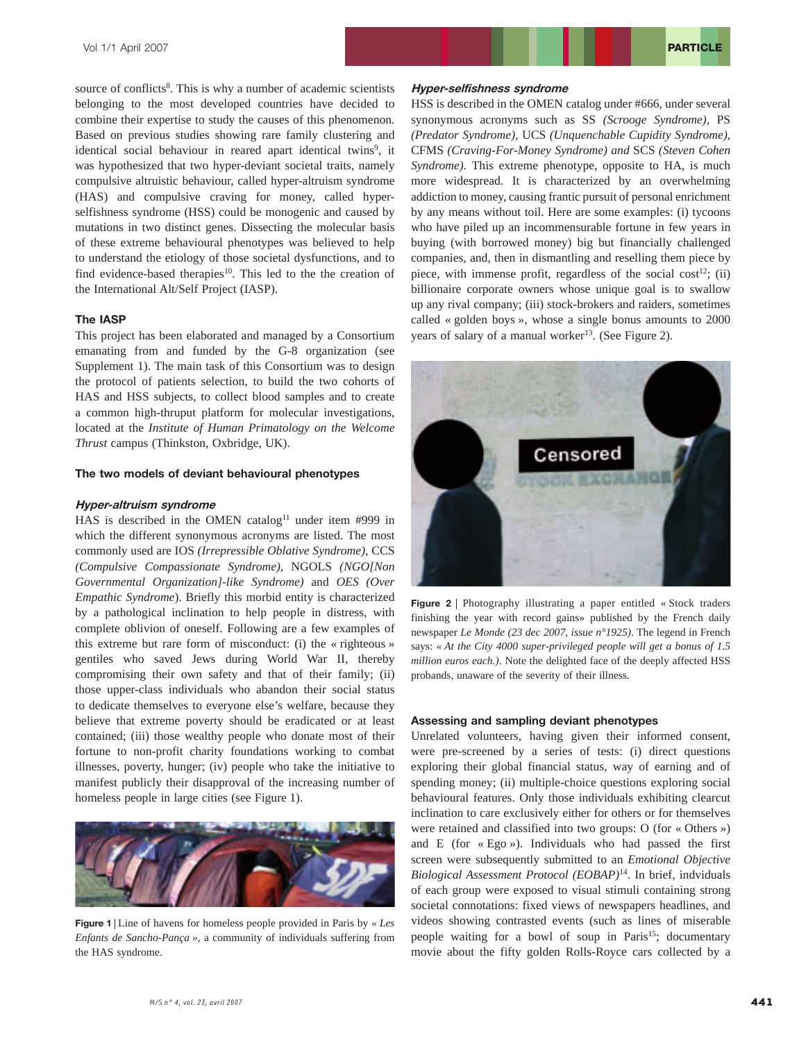source of conflicts<sup>8</sup>. This is why a number of academic scientists belonging to the most developed countries have decided to combine their expertise to study the causes of this phenomenon. Based on previous studies showing rare family clustering and identical social behaviour in reared apart identical twins<sup>9</sup>, it was hypothesized that two hyper-deviant societal traits, namely compulsive altruistic behaviour, called hyper-altruism syndrome (HAS) and compulsive craving for money, called hyperselfishness syndrome (HSS) could be monogenic and caused by mutations in two distinct genes. Dissecting the molecular basis of these extreme behavioural phenotypes was believed to help to understand the etiology of those societal dysfunctions, and to find evidence-based therapies<sup>10</sup>. This led to the the creation of the International Alt/Self Project (IASP).

# **The IASP**

This project has been elaborated and managed by a Consortium emanating from and funded by the G-8 organization (see Supplement 1). The main task of this Consortium was to design the protocol of patients selection, to build the two cohorts of HAS and HSS subjects, to collect blood samples and to create a common high-thruput platform for molecular investigations, located at the *Institute of Human Primatology on the Welcome Thrust* campus (Thinkston, Oxbridge, UK).

### **The two models of deviant behavioural phenotypes**

#### **Hyper-altruism syndrome**

HAS is described in the OMEN catalog<sup>11</sup> under item #999 in which the different synonymous acronyms are listed. The most commonly used are IOS *(Irrepressible Oblative Syndrome),* CCS *(Compulsive Compassionate Syndrome),* NGOLS *(NGO[Non Governmental Organization]-like Syndrome)* and *OES (Over Empathic Syndrome*). Briefly this morbid entity is characterized by a pathological inclination to help people in distress, with complete oblivion of oneself. Following are a few examples of this extreme but rare form of misconduct: (i) the « righteous » gentiles who saved Jews during World War II, thereby compromising their own safety and that of their family; (ii) those upper-class individuals who abandon their social status to dedicate themselves to everyone else's welfare, because they believe that extreme poverty should be eradicated or at least contained; (iii) those wealthy people who donate most of their fortune to non-profit charity foundations working to combat illnesses, poverty, hunger; (iv) people who take the initiative to manifest publicly their disapproval of the increasing number of homeless people in large cities (see Figure 1).



**Figure 1** Line of havens for homeless people provided in Paris by *« Les Enfants de Sancho-Pança »,* a community of individuals suffering from the HAS syndrome.

### **Hyper-selfishness syndrome**

HSS is described in the OMEN catalog under #666, under several synonymous acronyms such as SS *(Scrooge Syndrome),* PS *(Predator Syndrome),* UCS *(Unquenchable Cupidity Syndrome),*  CFMS *(Craving-For-Money Syndrome) and* SCS *(Steven Cohen Syndrome*). This extreme phenotype, opposite to HA, is much more widespread. It is characterized by an overwhelming addiction to money, causing frantic pursuit of personal enrichment by any means without toil. Here are some examples: (i) tycoons who have piled up an incommensurable fortune in few years in buying (with borrowed money) big but financially challenged companies, and, then in dismantling and reselling them piece by piece, with immense profit, regardless of the social cost<sup>12</sup>; (ii) billionaire corporate owners whose unique goal is to swallow up any rival company; (iii) stock-brokers and raiders, sometimes called « golden boys », whose a single bonus amounts to 2000 years of salary of a manual worker<sup>13</sup>. (See Figure 2).



**Figure 2** | Photography illustrating a paper entitled « Stock traders finishing the year with record gains» published by the French daily newspaper *Le Monde (23 dec 2007, issue n°1925)*. The legend in French says: *« At the City 4000 super-privileged people will get a bonus of 1.5 million euros each.)*. Note the delighted face of the deeply affected HSS probands, unaware of the severity of their illness.

# **Assessing and sampling deviant phenotypes**

Unrelated volunteers, having given their informed consent, were pre-screened by a series of tests: (i) direct questions exploring their global financial status, way of earning and of spending money; (ii) multiple-choice questions exploring social behavioural features. Only those individuals exhibiting clearcut inclination to care exclusively either for others or for themselves were retained and classified into two groups: O (for « Others ») and E (for « Ego »). Individuals who had passed the first screen were subsequently submitted to an *Emotional Objective Biological Assessment Protocol (EOBAP)*14. In brief, indviduals of each group were exposed to visual stimuli containing strong societal connotations: fixed views of newspapers headlines, and videos showing contrasted events (such as lines of miserable people waiting for a bowl of soup in Paris<sup>15</sup>; documentary movie about the fifty golden Rolls-Royce cars collected by a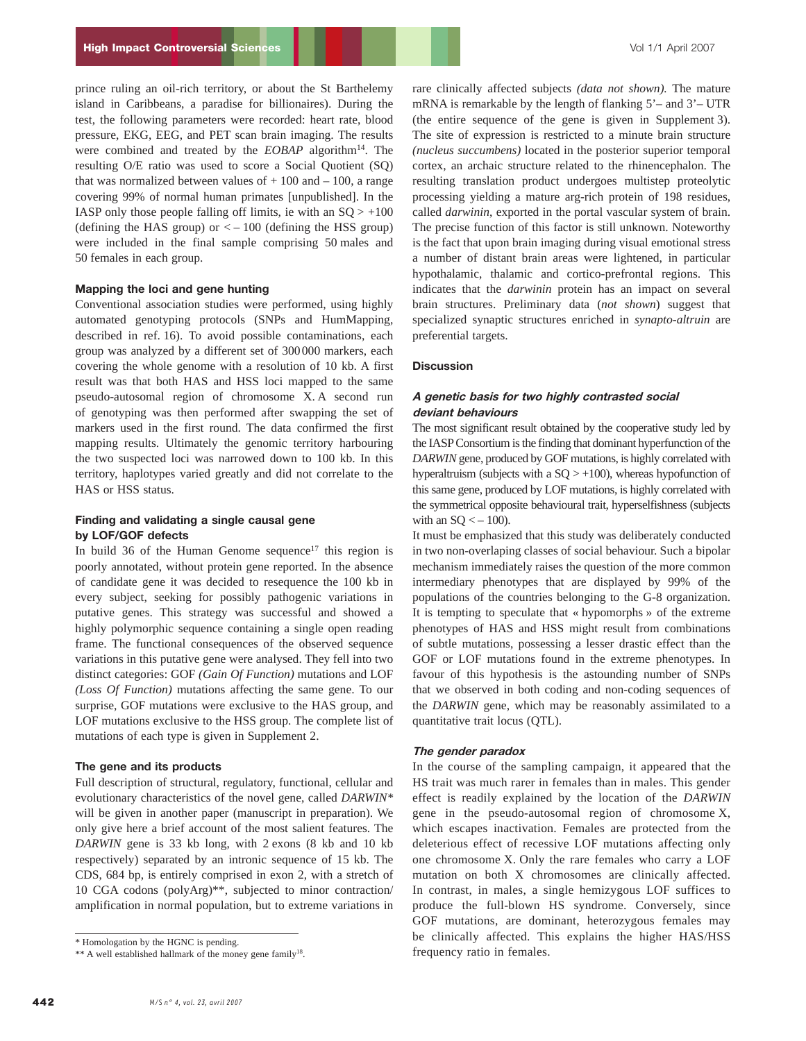prince ruling an oil-rich territory, or about the St Barthelemy island in Caribbeans, a paradise for billionaires). During the test, the following parameters were recorded: heart rate, blood pressure, EKG, EEG, and PET scan brain imaging. The results were combined and treated by the *EOBAP* algorithm<sup>14</sup>. The resulting O/E ratio was used to score a Social Quotient (SQ) that was normalized between values of  $+100$  and  $-100$ , a range covering 99% of normal human primates [unpublished]. In the IASP only those people falling off limits, ie with an  $SO > +100$ (defining the HAS group) or  $\lt$  – 100 (defining the HSS group) were included in the final sample comprising 50 males and 50 females in each group.

## **Mapping the loci and gene hunting**

Conventional association studies were performed, using highly automated genotyping protocols (SNPs and HumMapping, described in ref. 16). To avoid possible contaminations, each group was analyzed by a different set of 300 000 markers, each covering the whole genome with a resolution of 10 kb. A first result was that both HAS and HSS loci mapped to the same pseudo-autosomal region of chromosome X. A second run of genotyping was then performed after swapping the set of markers used in the first round. The data confirmed the first mapping results. Ultimately the genomic territory harbouring the two suspected loci was narrowed down to 100 kb. In this territory, haplotypes varied greatly and did not correlate to the HAS or HSS status.

# **Finding and validating a single causal gene by LOF/GOF defects**

In build 36 of the Human Genome sequence<sup>17</sup> this region is poorly annotated, without protein gene reported. In the absence of candidate gene it was decided to resequence the 100 kb in every subject, seeking for possibly pathogenic variations in putative genes. This strategy was successful and showed a highly polymorphic sequence containing a single open reading frame. The functional consequences of the observed sequence variations in this putative gene were analysed. They fell into two distinct categories: GOF *(Gain Of Function)* mutations and LOF *(Loss Of Function)* mutations affecting the same gene. To our surprise, GOF mutations were exclusive to the HAS group, and LOF mutations exclusive to the HSS group. The complete list of mutations of each type is given in Supplement 2.

# **The gene and its products**

Full description of structural, regulatory, functional, cellular and evolutionary characteristics of the novel gene, called *DARWIN\** will be given in another paper (manuscript in preparation). We only give here a brief account of the most salient features. The *DARWIN* gene is 33 kb long, with 2 exons (8 kb and 10 kb respectively) separated by an intronic sequence of 15 kb. The CDS, 684 bp, is entirely comprised in exon 2, with a stretch of 10 CGA codons (polyArg)\*\*, subjected to minor contraction/ amplification in normal population, but to extreme variations in rare clinically affected subjects *(data not shown).* The mature mRNA is remarkable by the length of flanking 5'– and 3'– UTR (the entire sequence of the gene is given in Supplement 3). The site of expression is restricted to a minute brain structure *(nucleus succumbens)* located in the posterior superior temporal cortex, an archaic structure related to the rhinencephalon. The resulting translation product undergoes multistep proteolytic processing yielding a mature arg-rich protein of 198 residues, called *darwinin*, exported in the portal vascular system of brain. The precise function of this factor is still unknown. Noteworthy is the fact that upon brain imaging during visual emotional stress a number of distant brain areas were lightened, in particular hypothalamic, thalamic and cortico-prefrontal regions. This indicates that the *darwinin* protein has an impact on several brain structures. Preliminary data (*not shown*) suggest that specialized synaptic structures enriched in *synapto-altruin* are preferential targets.

#### **Discussion**

# **A genetic basis for two highly contrasted social deviant behaviours**

The most significant result obtained by the cooperative study led by the IASP Consortium is the finding that dominant hyperfunction of the *DARWIN* gene, produced by GOF mutations, is highly correlated with hyperaltruism (subjects with a  $SO > +100$ ), whereas hypofunction of this same gene, produced by LOF mutations, is highly correlated with the symmetrical opposite behavioural trait, hyperselfishness (subjects with an  $SQ < -100$ ).

It must be emphasized that this study was deliberately conducted in two non-overlaping classes of social behaviour. Such a bipolar mechanism immediately raises the question of the more common intermediary phenotypes that are displayed by 99% of the populations of the countries belonging to the G-8 organization. It is tempting to speculate that « hypomorphs » of the extreme phenotypes of HAS and HSS might result from combinations of subtle mutations, possessing a lesser drastic effect than the GOF or LOF mutations found in the extreme phenotypes. In favour of this hypothesis is the astounding number of SNPs that we observed in both coding and non-coding sequences of the *DARWIN* gene, which may be reasonably assimilated to a quantitative trait locus (QTL).

#### **The gender paradox**

In the course of the sampling campaign, it appeared that the HS trait was much rarer in females than in males. This gender effect is readily explained by the location of the *DARWIN*  gene in the pseudo-autosomal region of chromosome X, which escapes inactivation. Females are protected from the deleterious effect of recessive LOF mutations affecting only one chromosome X. Only the rare females who carry a LOF mutation on both X chromosomes are clinically affected. In contrast, in males, a single hemizygous LOF suffices to produce the full-blown HS syndrome. Conversely, since GOF mutations, are dominant, heterozygous females may be clinically affected. This explains the higher HAS/HSS \* Homologation by the HGNC is pending. The money gene family<sup>18</sup>. The money per equency ratio in females.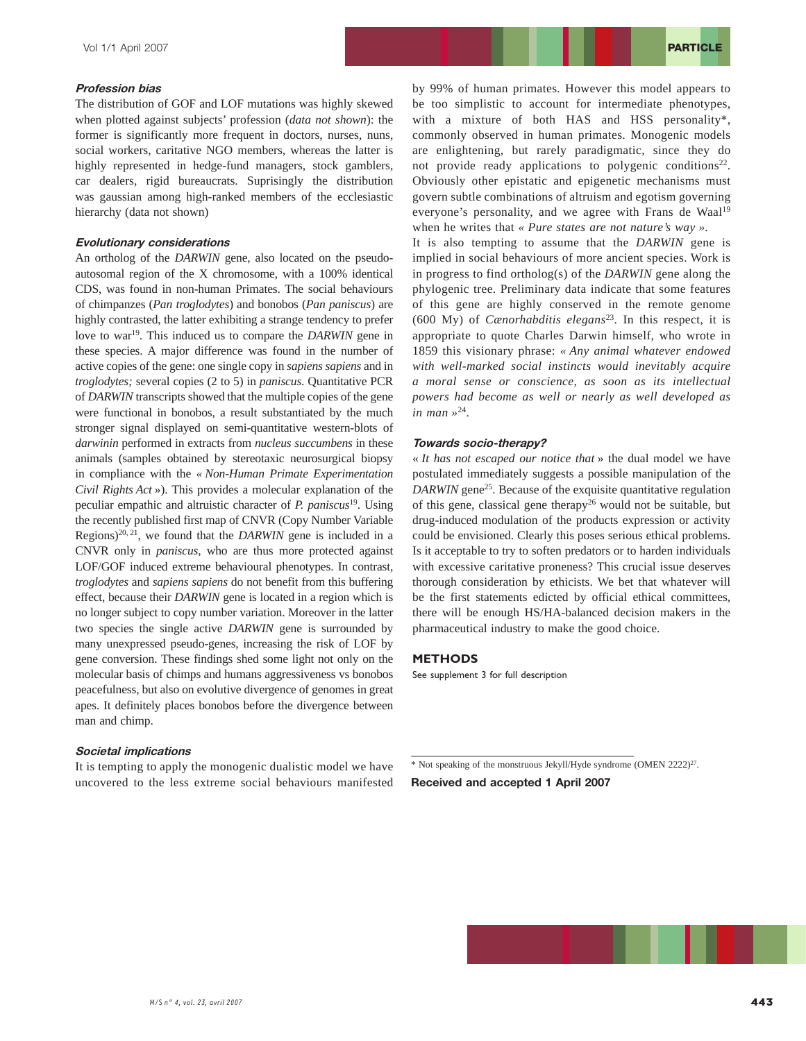The distribution of GOF and LOF mutations was highly skewed when plotted against subjects' profession (*data not shown*): the former is significantly more frequent in doctors, nurses, nuns, social workers, caritative NGO members, whereas the latter is highly represented in hedge-fund managers, stock gamblers, car dealers, rigid bureaucrats. Suprisingly the distribution was gaussian among high-ranked members of the ecclesiastic hierarchy (data not shown)

# **Evolutionary considerations**

An ortholog of the *DARWIN* gene, also located on the pseudoautosomal region of the X chromosome, with a 100% identical CDS, was found in non-human Primates. The social behaviours of chimpanzes (*Pan troglodytes*) and bonobos (*Pan paniscus*) are highly contrasted, the latter exhibiting a strange tendency to prefer love to war<sup>19</sup>. This induced us to compare the *DARWIN* gene in these species. A major difference was found in the number of active copies of the gene: one single copy in *sapiens sapiens* and in *troglodytes;* several copies (2 to 5) in *paniscus*. Quantitative PCR of *DARWIN* transcripts showed that the multiple copies of the gene were functional in bonobos, a result substantiated by the much stronger signal displayed on semi-quantitative western-blots of *darwinin* performed in extracts from *nucleus succumbens* in these animals (samples obtained by stereotaxic neurosurgical biopsy in compliance with the *« Non-Human Primate Experimentation Civil Rights Act* »). This provides a molecular explanation of the peculiar empathic and altruistic character of *P. paniscus*19. Using the recently published first map of CNVR (Copy Number Variable Regions)20, 21, we found that the *DARWIN* gene is included in a CNVR only in *paniscus,* who are thus more protected against LOF/GOF induced extreme behavioural phenotypes. In contrast, *troglodytes* and *sapiens sapiens* do not benefit from this buffering effect, because their *DARWIN* gene is located in a region which is no longer subject to copy number variation. Moreover in the latter two species the single active *DARWIN* gene is surrounded by many unexpressed pseudo-genes, increasing the risk of LOF by gene conversion. These findings shed some light not only on the molecular basis of chimps and humans aggressiveness vs bonobos peacefulness, but also on evolutive divergence of genomes in great apes. It definitely places bonobos before the divergence between man and chimp.

#### **Societal implications**

It is tempting to apply the monogenic dualistic model we have uncovered to the less extreme social behaviours manifested by 99% of human primates. However this model appears to be too simplistic to account for intermediate phenotypes, with a mixture of both HAS and HSS personality\*, commonly observed in human primates. Monogenic models are enlightening, but rarely paradigmatic, since they do not provide ready applications to polygenic conditions<sup>22</sup>. Obviously other epistatic and epigenetic mechanisms must govern subtle combinations of altruism and egotism governing everyone's personality, and we agree with Frans de Waal<sup>19</sup> when he writes that *« Pure states are not nature's way ».* 

It is also tempting to assume that the *DARWIN* gene is implied in social behaviours of more ancient species. Work is in progress to find ortholog(s) of the *DARWIN* gene along the phylogenic tree. Preliminary data indicate that some features of this gene are highly conserved in the remote genome (600 My) of *Cænorhabditis elegans*23. In this respect, it is appropriate to quote Charles Darwin himself, who wrote in 1859 this visionary phrase: *« Any animal whatever endowed with well-marked social instincts would inevitably acquire a moral sense or conscience, as soon as its intellectual powers had become as well or nearly as well developed as in man »*24.

#### **Towards socio-therapy?**

« *It has not escaped our notice that* » the dual model we have postulated immediately suggests a possible manipulation of the *DARWIN* gene<sup>25</sup>. Because of the exquisite quantitative regulation of this gene, classical gene therapy26 would not be suitable, but drug-induced modulation of the products expression or activity could be envisioned. Clearly this poses serious ethical problems. Is it acceptable to try to soften predators or to harden individuals with excessive caritative proneness? This crucial issue deserves thorough consideration by ethicists. We bet that whatever will be the first statements edicted by official ethical committees, there will be enough HS/HA-balanced decision makers in the pharmaceutical industry to make the good choice.

#### **METHODS**

See supplement 3 for full description

\* Not speaking of the monstruous Jekyll/Hyde syndrome (OMEN 2222)27. **Received and accepted 1 April 2007**